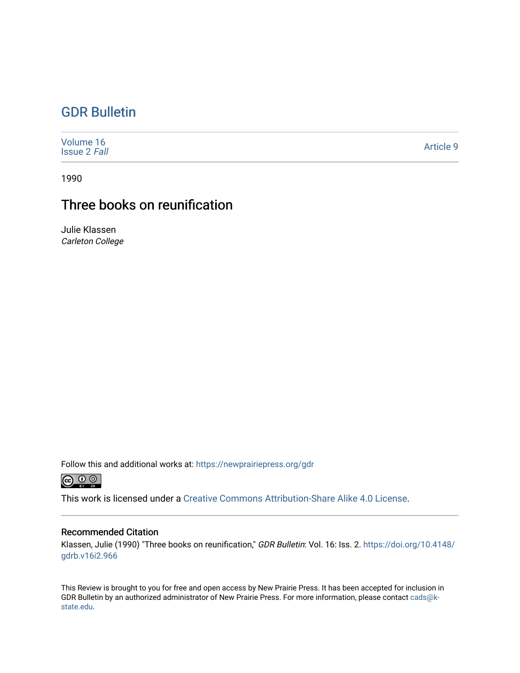## [GDR Bulletin](https://newprairiepress.org/gdr)

| Volume 16<br><b>Issue 2 Fall</b> | Article 9 |
|----------------------------------|-----------|
|----------------------------------|-----------|

1990

## Three books on reunification

Julie Klassen Carleton College

Follow this and additional works at: [https://newprairiepress.org/gdr](https://newprairiepress.org/gdr?utm_source=newprairiepress.org%2Fgdr%2Fvol16%2Fiss2%2F9&utm_medium=PDF&utm_campaign=PDFCoverPages) 



This work is licensed under a [Creative Commons Attribution-Share Alike 4.0 License.](https://creativecommons.org/licenses/by-sa/4.0/)

## Recommended Citation

Klassen, Julie (1990) "Three books on reunification," GDR Bulletin: Vol. 16: Iss. 2. [https://doi.org/10.4148/](https://doi.org/10.4148/gdrb.v16i2.966) [gdrb.v16i2.966](https://doi.org/10.4148/gdrb.v16i2.966)

This Review is brought to you for free and open access by New Prairie Press. It has been accepted for inclusion in GDR Bulletin by an authorized administrator of New Prairie Press. For more information, please contact [cads@k](mailto:cads@k-state.edu)[state.edu](mailto:cads@k-state.edu).